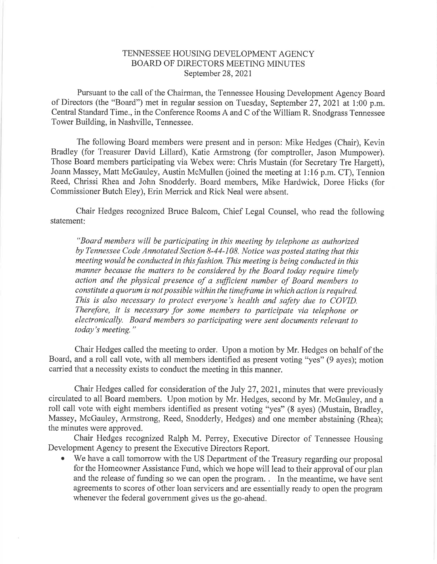## TENNESSEE HOUSING DEVELOPMENT AGENCY BOARD OF DIRECTORS MEETING MINUTES September 28,2Q21

Pursuant to the call of the Chairman, the Tennessee Housing Development Agency Board of Directors (the "Board") met in regular session on Tuesday, September 27, 2021 at 1:00 p.m. Central Standard Time., in the Conference Rooms A and C of the William R. Snodgrass Tennessee Tower Building, in Nashville, Tennessee.

The following Board members were present and in person: Mike Hedges (Chair), Kevin Bradley (for Treasurer David Lillard), Katie Armstrong (for comptroller, Jason Mumpower). Those Board members participating via Webex were: Chris Mustain (for Secretary Tre Hargett), Joann Massey, Matt McGauley, Austin McMullen (joined the meeting at 1:16 p.m. CT), Tennion Reed, Chrissi Rhea and John Snodderly. Board members, Mike Hardwick, Doree Hicks (for Commissioner Butch Eley), Erin Merrick and Rick Neal were absent.

Chair Hedges recognized Bruce Balcom, Chief Legal Counsel, who read the following statement

"Board members will be participating in this meeting by telephone as authorized by Tennessee Code Annotated Section 8-44-108. Notice was posted stating that this meeting would be conducted in this fashion. This meeting is being conducted in this manner because the matters to be considered by the Board today require timely action and the physical presence of a sufficient number of Board members to constitute a quorum is not possible within the timeframe inwhich action is required. This is also necessary to protect everyone's health and safety due to COVID. Therefore, it is necessary for some members to participate via telephone or electronically. Board members so participating were sent documents relevant to today's meeting."

Chair Hedges called the meeting to order. Upon a motion by Mr. Hedges on behalf of the Board, and a roll call vote, with all members identified as present voting "yes" (9 ayes); motion carried that a necessity exists to conduct the meeting in this manner.

Chair Hedges called for consideration of the July 27, 2021, minutes that were previously circulated to all Board members. Upon motion by Mr. Hedges, second by Mr. McGauley, and a roll call vote with eight members identified as present voting "yes" (8 ayes) (Mustain, Bradley, Massey, McGauley, Armstrong, Reed, Snodderly, Hedges) and one member abstaining (Rhea); the minutes were approved.

Chair Hedges recognized Ralph M. Perrey, Executive Director of Tennessee Housing Development Agency to present the Executive Directors Report.

We have a call tomorrow with the US Department of the Treasury regarding our proposal for the Homeowner Assistance Fund, which we hope will lead to their approval of our plan and the release of funding so we can open the program. . In the meantime, we have sent agreements to scores of other loan servicers and are essentially ready to open the program whenever the federal govemment gives us the go-ahead.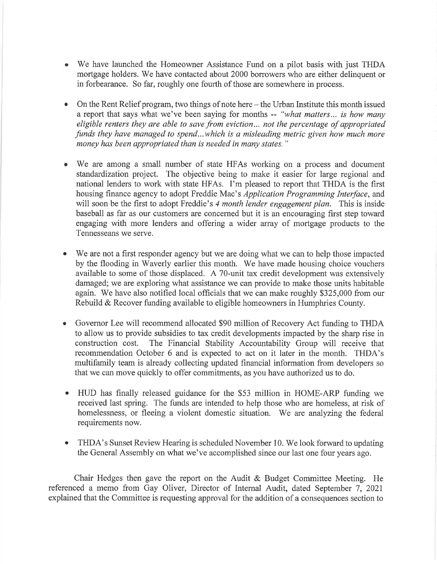- a We have launched the Homeowner Assistance Fund on a pilot basis with just THDA mortgage holders. We have contacted about 2000 borrowers who are either delinquent or in forbearance. So far, roughly one fourth of those are somewhere in process.
- On the Rent Relief program, two things of note here  $-$  the Urban Institute this month issued a report that says what we've been saying for months -- "what matters... is how many eligible renters they are able to save from eviction... not the percentage of appropriated funds they have managed to spend...which is a misleading metric given how much more money has been appropriated than is needed in many states."
- We are among a small number of state HFAs working on a process and document standardization project. The objective being to make it easier for large regional and national lenders to work with state HFAs. I'm pleased to report that THDA is the first housing finance agency to adopt Freddie Mac's Application Programming Interface, and will soon be the first to adopt Freddie's 4 month lender engagement plan. This is inside baseball as far as our customers are concerned but it is an encouraging first step toward engaging with more lenders and offering a wider array of mortgage products to the Tennesseans we serve.
- a We are not a first responder agency but we are doing what we can to help those impacted by the flooding in Waverly earlier this month. We have made housing choice vouchers available to some of those displaced. A 70-unit tax credit development was extensively damaged; we are exploring what assistance we can provide to make those units habitable again. We have also notified local officials that we can make roughly \$325,000 from our Rebuild & Recover funding available to eligible homeowners in Humphries County.
- Governor Lee will recommend allocated \$90 million of Recovery Act funding to THDA  $\bullet$ to allow us to provide subsidies to tax credit developments impacted by the sharp rise in construction cost. The Financial Stability Accountability Group will receive that recommendation October 6 and is expected to act on it later in the month. THDA's multifamily team is already collecting updated financial information from developers so that we can move quickly to offer commitments, as you have authorized us to do.
- o HUD has finally released guidance for the \$53 million in HOME-ARP funding we received last spring. The funds are intended to help those who are homeless, at risk of homelessness, or fleeing a violent domestic situation. We are analyzing the federal requirements now.
- a THDA's Sunset Review Hearing is scheduled November 10. We look forward to updating the General Assembly on what we've accomplished since our last one four years ago.

Chair Hedges then gave the report on the Audit & Budget Committee Meeting. He referenced a memo from Gay Oliver, Director of Intemal Audit, dated September 7, 202I explained that the Committee is requesting approval for the addition of a consequences section to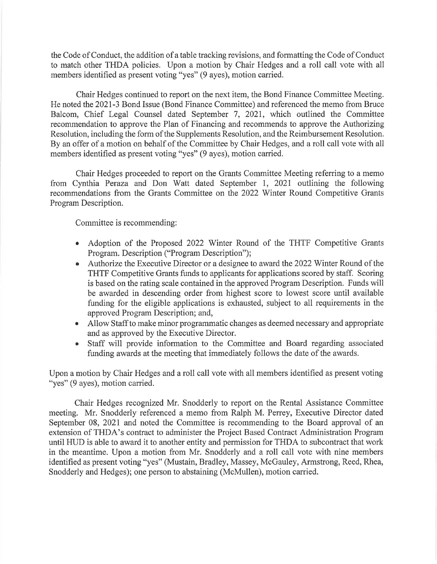the Code of Conduct, the addition of atable tracking revisions, and formatting the Code of Conduct to match other THDA policies. Upon a motion by Chair Hedges and a roll call vote with all members identified as present voting "yes" (9 ayes), motion carried.

Chair Hedges continued to report on the next item, the Bond Finance Committee Meeting. He noted the 2021-3 Bond Issue (Bond Finance Committee) and referenced the memo from Bruce Balcom, Chief Legal Counsel dated September 7,202I, which outlined the Committee recommendation to approve the Plan of Financing and recommends to approve the Authorizing Resolution, including the form of the Supplements Resolution, and the Reimbursement Resolution. By an offer of a motion on behalf of the Committee by Chair Hedges, and a roll call vote with all members identified as present voting "yes" (9 ayes), motion carried.

Chair Hedges proceeded to report on the Grants Committee Meeting referring to a memo from Cynthia Penza and Don Watt dated September 1, 202I outlining the following recommendations from the Grants Committee on the 2022 Winter Round Competitive Grants Program Description.

Committee is recommending:

- Adoption of the Proposed 2022 Winter Round of the THTF Competitive Grants a Program. Description ("Program Description");
- Authorize the Executive Director or a designee to award the 2022 Winter Round of the THTF Competitive Grants funds to applicants for applications scored by staff. Scoring is based on the rating scale contained in the approved Program Description. Funds will be awarded in descending order from highest score to lowest score until available funding for the eligible applications is exhausted, subject to all requirements in the approved Program Description; and,
- Allow Staff to make minor programmatic changes as deemed necessary and appropriate a and as approved by the Executive Director.
- Staff will provide information to the Committee and Board regarding associated funding awards at the meeting that immediately follows the date of the awards. o

Upon a motion by Chair Hedges and a roll call vote with all members identified as present voting "yes" (9 ayes), motion carried.

Chair Hedges recognized Mr. Snodderly to report on the Rental Assistance Committee meeting. Mr. Snodderly referenced a memo from Ralph M. Perrey, Executive Director dated September 08, 2021 and noted the Committee is recommending to the Board approval of an extension of THDA's contract to administer the Project Based Contract Administration Program until HUD is able to award it to another entity and permission for THDA to subcontract that work in the meantime. Upon a motion from Mr. Snodderly and a roll call vote with nine members identified as present voting "yes" (Mustain, Bradley, Massey, McGauley, Armstrong, Reed, Rhea, Snodderly and Hedges); one person to abstaining (McMullen), motion carried.